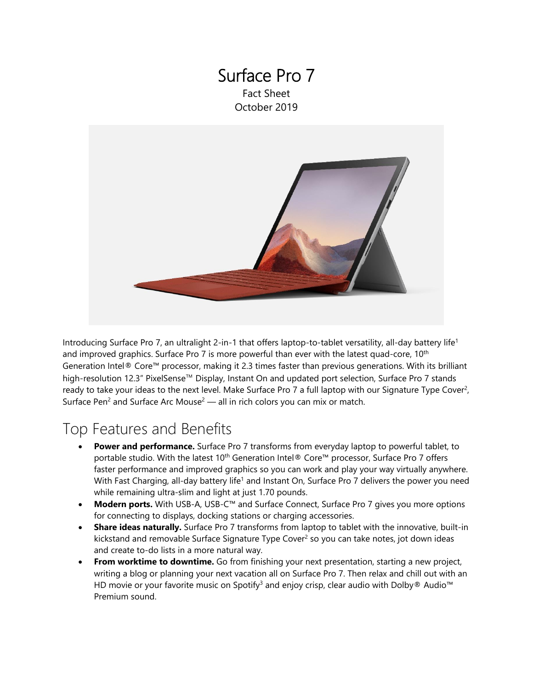### Surface Pro 7 Fact Sheet October 2019



Introducing Surface Pro 7, an ultralight 2-in-1 that offers laptop-to-tablet versatility, all-day battery life<sup>1</sup> and improved graphics. Surface Pro 7 is more powerful than ever with the latest quad-core, 10<sup>th</sup> Generation Intel® Core™ processor, making it 2.3 times faster than previous generations. With its brilliant high-resolution 12.3" PixelSense™ Display, Instant On and updated port selection, Surface Pro 7 stands ready to take your ideas to the next level. Make Surface Pro 7 a full laptop with our Signature Type Cover<sup>2</sup>, Surface Pen<sup>2</sup> and Surface Arc Mouse<sup>2</sup> — all in rich colors you can mix or match.

## Top Features and Benefits

- **Power and performance.** Surface Pro 7 transforms from everyday laptop to powerful tablet, to portable studio. With the latest 10<sup>th</sup> Generation Intel® Core<sup>™</sup> processor, Surface Pro 7 offers faster performance and improved graphics so you can work and play your way virtually anywhere. With Fast Charging, all-day battery life<sup>1</sup> and Instant On, Surface Pro 7 delivers the power you need while remaining ultra-slim and light at just 1.70 pounds.
- **Modern ports.** With USB-A, USB-C™ and Surface Connect, Surface Pro 7 gives you more options for connecting to displays, docking stations or charging accessories.
- **Share ideas naturally.** Surface Pro 7 transforms from laptop to tablet with the innovative, built-in kickstand and removable Surface Signature Type Cover<sup>2</sup> so you can take notes, jot down ideas and create to-do lists in a more natural way.
- **From worktime to downtime.** Go from finishing your next presentation, starting a new project, writing a blog or planning your next vacation all on Surface Pro 7. Then relax and chill out with an HD movie or your favorite music on Spotify<sup>3</sup> and enjoy crisp, clear audio with Dolby® Audio™ Premium sound.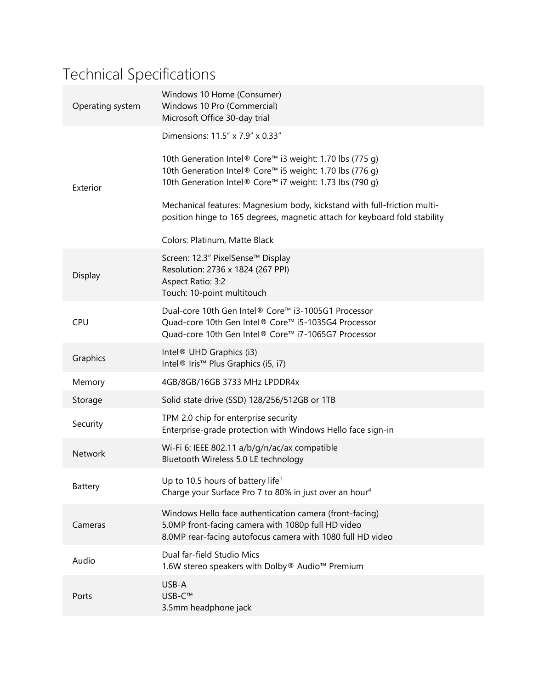# Technical Specifications

| Operating system | Windows 10 Home (Consumer)<br>Windows 10 Pro (Commercial)<br>Microsoft Office 30-day trial                                                                                       |
|------------------|----------------------------------------------------------------------------------------------------------------------------------------------------------------------------------|
| Exterior         | Dimensions: 11.5" x 7.9" x 0.33"                                                                                                                                                 |
|                  | 10th Generation Intel® Core™ i3 weight: 1.70 lbs (775 g)<br>10th Generation Intel® Core™ i5 weight: 1.70 lbs (776 g)<br>10th Generation Intel® Core™ i7 weight: 1.73 lbs (790 g) |
|                  | Mechanical features: Magnesium body, kickstand with full-friction multi-<br>position hinge to 165 degrees, magnetic attach for keyboard fold stability                           |
|                  | Colors: Platinum, Matte Black                                                                                                                                                    |
| Display          | Screen: 12.3" PixelSense™ Display<br>Resolution: 2736 x 1824 (267 PPI)<br>Aspect Ratio: 3:2<br>Touch: 10-point multitouch                                                        |
| CPU              | Dual-core 10th Gen Intel® Core™ i3-1005G1 Processor<br>Quad-core 10th Gen Intel® Core™ i5-1035G4 Processor<br>Quad-core 10th Gen Intel® Core™ i7-1065G7 Processor                |
| Graphics         | Intel <sup>®</sup> UHD Graphics (i3)<br>Intel <sup>®</sup> Iris <sup>™</sup> Plus Graphics (i5, i7)                                                                              |
| Memory           | 4GB/8GB/16GB 3733 MHz LPDDR4x                                                                                                                                                    |
| Storage          | Solid state drive (SSD) 128/256/512GB or 1TB                                                                                                                                     |
| Security         | TPM 2.0 chip for enterprise security<br>Enterprise-grade protection with Windows Hello face sign-in                                                                              |
| <b>Network</b>   | Wi-Fi 6: IEEE 802.11 a/b/g/n/ac/ax compatible<br>Bluetooth Wireless 5.0 LE technology                                                                                            |
| Battery          | Up to 10.5 hours of battery life <sup>1</sup><br>Charge your Surface Pro 7 to 80% in just over an hour <sup>4</sup>                                                              |
| Cameras          | Windows Hello face authentication camera (front-facing)<br>5.0MP front-facing camera with 1080p full HD video<br>8.0MP rear-facing autofocus camera with 1080 full HD video      |
| Audio            | Dual far-field Studio Mics<br>1.6W stereo speakers with Dolby® Audio™ Premium                                                                                                    |
| Ports            | USB-A<br>USB-C™<br>3.5mm headphone jack                                                                                                                                          |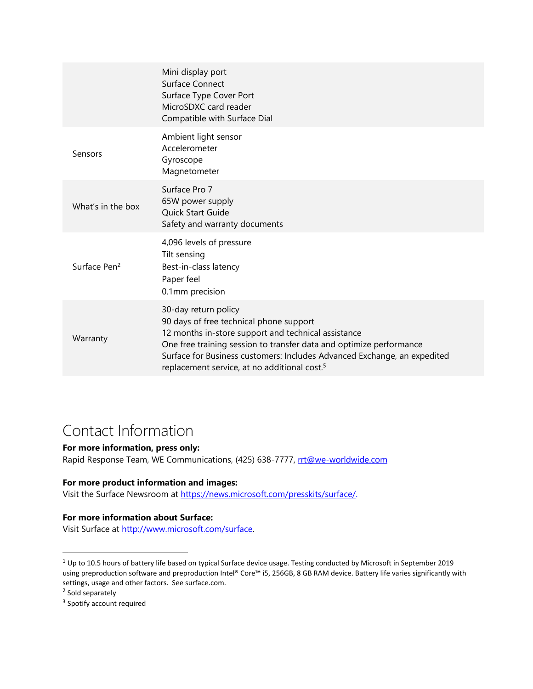| Mini display port<br>Surface Connect<br>Surface Type Cover Port<br>MicroSDXC card reader<br>Compatible with Surface Dial                                                                                                                                                                                                              |
|---------------------------------------------------------------------------------------------------------------------------------------------------------------------------------------------------------------------------------------------------------------------------------------------------------------------------------------|
| Ambient light sensor<br>Accelerometer<br>Gyroscope<br>Magnetometer                                                                                                                                                                                                                                                                    |
| Surface Pro 7<br>65W power supply<br>Quick Start Guide<br>Safety and warranty documents                                                                                                                                                                                                                                               |
| 4,096 levels of pressure<br>Tilt sensing<br>Best-in-class latency<br>Paper feel<br>0.1mm precision                                                                                                                                                                                                                                    |
| 30-day return policy<br>90 days of free technical phone support<br>12 months in-store support and technical assistance<br>One free training session to transfer data and optimize performance<br>Surface for Business customers: Includes Advanced Exchange, an expedited<br>replacement service, at no additional cost. <sup>5</sup> |
|                                                                                                                                                                                                                                                                                                                                       |

### Contact Information

### **For more information, press only:**

Rapid Response Team, WE Communications, (425) 638-7777, rtt@we-worldwide.com

#### **For more product information and images:**

Visit the Surface Newsroom at [https://news.microsoft.com/presskits/surface/.](https://news.microsoft.com/presskits/surface/)

#### **For more information about Surface:**

Visit Surface at [http://www.microsoft.com/surface.](http://www.microsoft.com/surface)

<sup>1</sup> Up to 10.5 hours of battery life based on typical Surface device usage. Testing conducted by Microsoft in September 2019 using preproduction software and preproduction Intel® Core™ i5, 256GB, 8 GB RAM device. Battery life varies significantly with settings, usage and other factors. See surface.com.

<sup>&</sup>lt;sup>2</sup> Sold separately

<sup>&</sup>lt;sup>3</sup> Spotify account required